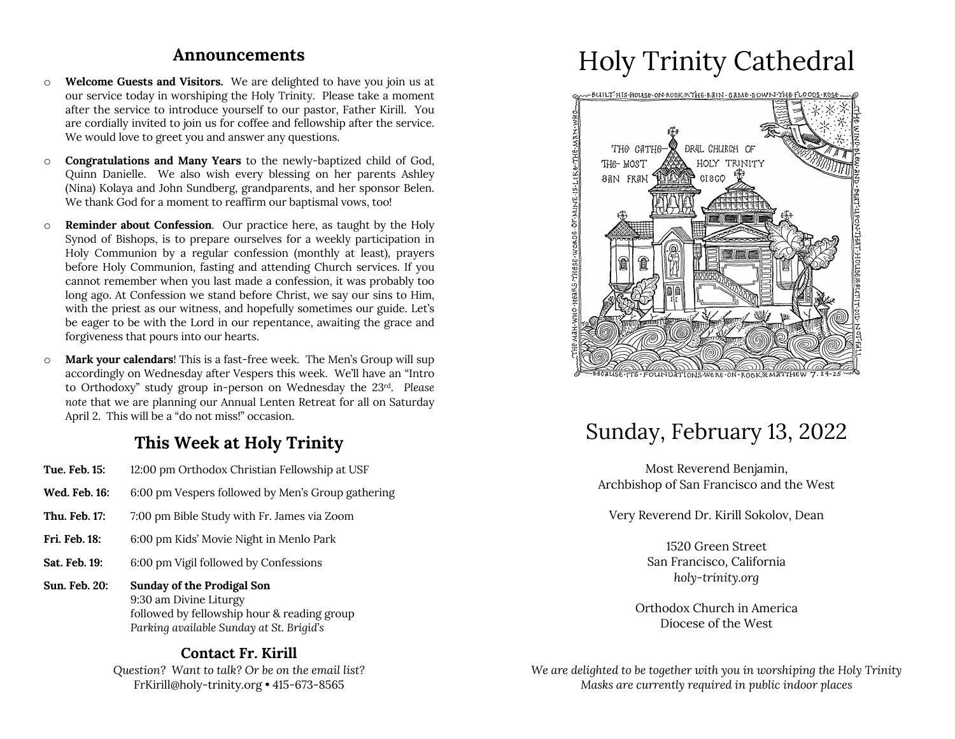#### **Announcements**

- o **Welcome Guests and Visitors.** We are delighted to have you join us at our service today in worshiping the Holy Trinity. Please take a moment after the service to introduce yourself to our pastor, Father Kirill. You are cordially invited to join us for coffee and fellowship after the service. We would love to greet you and answer any questions.
- o **Congratulations and Many Years** to the newly-baptized child of God, Quinn Danielle. We also wish every blessing on her parents Ashley (Nina) Kolaya and John Sundberg, grandparents, and her sponsor Belen. We thank God for a moment to reaffirm our baptismal vows, too!
- o **Reminder about Confession**. Our practice here, as taught by the Holy Synod of Bishops, is to prepare ourselves for a weekly participation in Holy Communion by a regular confession (monthly at least), prayers before Holy Communion, fasting and attending Church services. If you cannot remember when you last made a confession, it was probably too long ago. At Confession we stand before Christ, we say our sins to Him, with the priest as our witness, and hopefully sometimes our guide. Let's be eager to be with the Lord in our repentance, awaiting the grace and forgiveness that pours into our hearts.
- o **Mark your calendars**! This is a fast-free week. The Men's Group will sup accordingly on Wednesday after Vespers this week. We'll have an "Intro to Orthodoxy" study group in-person on Wednesday the 23rd. *Please note* that we are planning our Annual Lenten Retreat for all on Saturday April 2. This will be a "do not miss!" occasion.

### **This Week at Holy Trinity**

- **Tue. Feb. 15:** 12:00 pm Orthodox Christian Fellowship at USF
- **Wed. Feb. 16:** 6:00 pm Vespers followed by Men's Group gathering
- **Thu. Feb. 17:** 7:00 pm Bible Study with Fr. James via Zoom
- **Fri. Feb. 18:** 6:00 pm Kids' Movie Night in Menlo Park
- **Sat. Feb. 19:** 6:00 pm Vigil followed by Confessions
- **Sun. Feb. 20: Sunday of the Prodigal Son** 9:30 am Divine Liturgy followed by fellowship hour & reading group *Parking available Sunday at St. Brigid's*

#### **Contact Fr. Kirill**

*Question? Want to talk? Or be on the email list?* FrKirill@holy-trinity.org • 415-673-8565

# Holy Trinity Cathedral



# Sunday, February 13, 2022

Most Reverend Benjamin, Archbishop of San Francisco and the West

Very Reverend Dr. Kirill Sokolov, Dean

1520 Green Street San Francisco, California *holy-trinity.org*

Orthodox Church in America Diocese of the West

*We are delighted to be together with you in worshiping the Holy Trinity Masks are currently required in public indoor places*